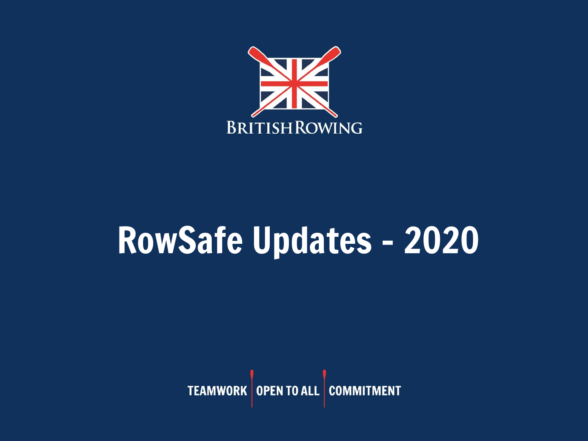

# RowSafe Updates - 2020

TEAMWORK OPEN TO ALL COMMITMENT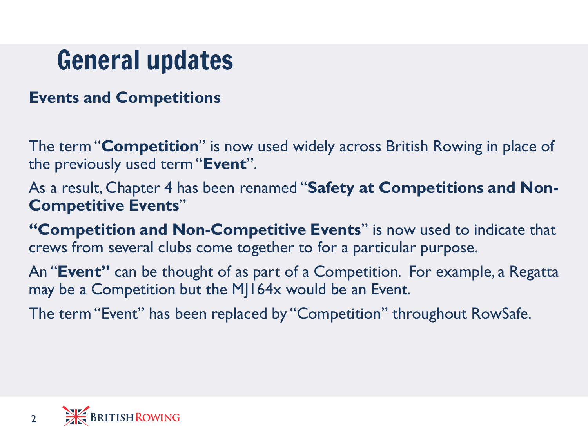# General updates

#### **Events and Competitions**

The term "**Competition**" is now used widely across British Rowing in place of the previously used term "**Event**".

As a result, Chapter 4 has been renamed "**Safety at Competitions and Non-Competitive Events**"

**"Competition and Non-Competitive Events**" is now used to indicate that crews from several clubs come together to for a particular purpose.

An "**Event"** can be thought of as part of a Competition. For example, a Regatta may be a Competition but the MJ164x would be an Event.

The term "Event" has been replaced by "Competition" throughout RowSafe.

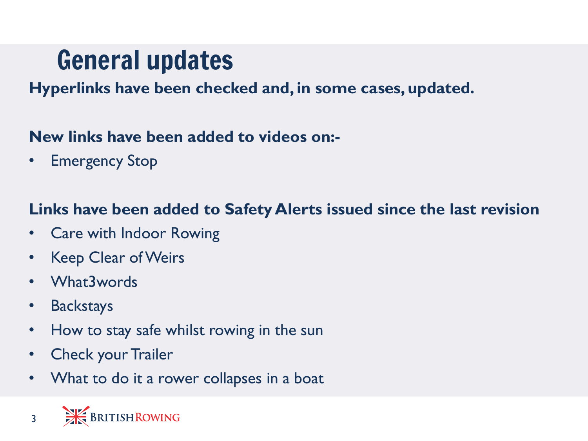# General updates

#### **Hyperlinks have been checked and, in some cases, updated.**

#### **New links have been added to videos on:-**

• Emergency Stop

#### **Links have been added to Safety Alerts issued since the last revision**

- Care with Indoor Rowing
- Keep Clear of Weirs
- What3words
- Backstays
- How to stay safe whilst rowing in the sun
- Check your Trailer
- What to do it a rower collapses in a boat

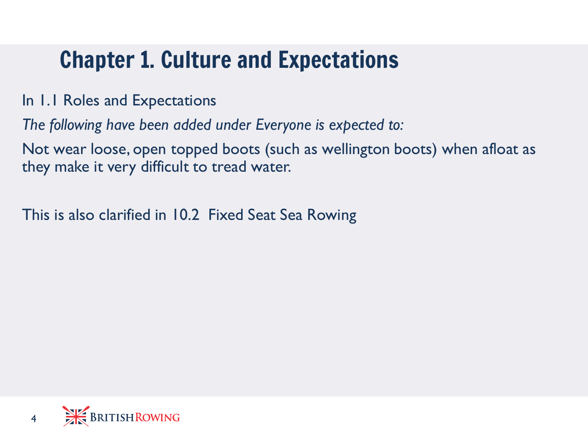### Chapter 1. Culture and Expectations

In 1.1 Roles and Expectations

*The following have been added under Everyone is expected to:*

Not wear loose, open topped boots (such as wellington boots) when afloat as they make it very difficult to tread water.

This is also clarified in 10.2 Fixed Seat Sea Rowing

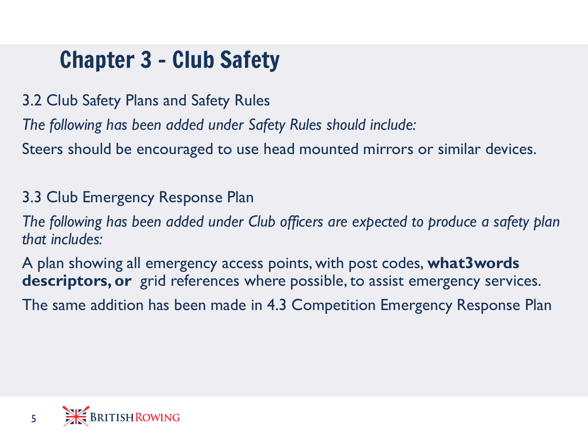### Chapter 3 – Club Safety

3.2 Club Safety Plans and Safety Rules

*The following has been added under Safety Rules should include:*

Steers should be encouraged to use head mounted mirrors or similar devices.

3.3 Club Emergency Response Plan

*The following has been added under Club officers are expected to produce a safety plan that includes:*

A plan showing all emergency access points, with post codes, **what3words descriptors, or** grid references where possible, to assist emergency services. The same addition has been made in 4.3 Competition Emergency Response Plan

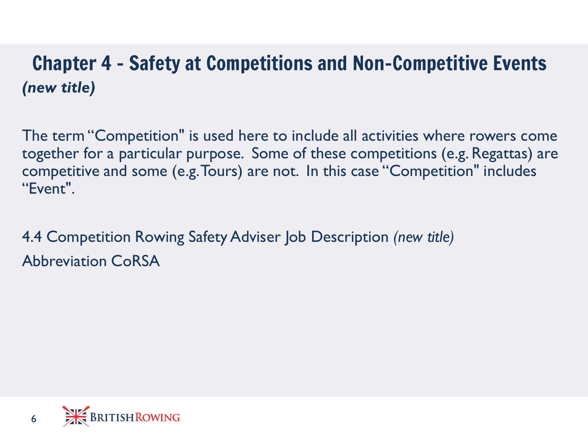#### Chapter 4 – Safety at Competitions and Non-Competitive Events *(new title)*

The term "Competition" is used here to include all activities where rowers come together for a particular purpose. Some of these competitions (e.g. Regattas) are competitive and some (e.g. Tours) are not. In this case "Competition" includes "Event".

4.4 Competition Rowing Safety Adviser Job Description *(new title)* Abbreviation CoRSA

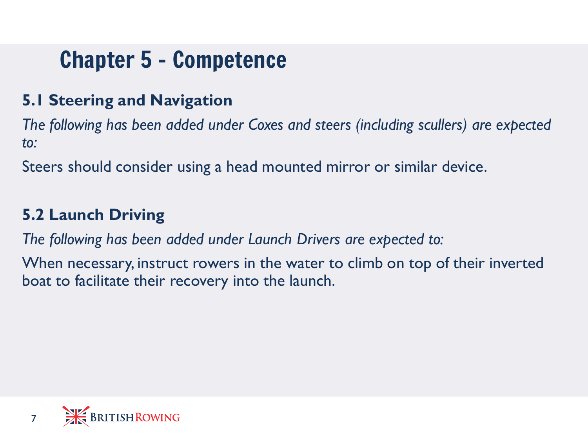### Chapter 5 – Competence

#### **5.1 Steering and Navigation**

*The following has been added under Coxes and steers (including scullers) are expected to:*

Steers should consider using a head mounted mirror or similar device.

#### **5.2 Launch Driving**

*The following has been added under Launch Drivers are expected to:*

When necessary, instruct rowers in the water to climb on top of their inverted boat to facilitate their recovery into the launch.

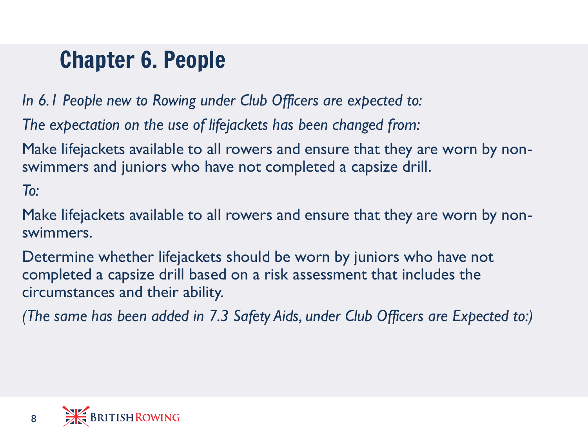### Chapter 6. People

*In 6.1 People new to Rowing under Club Officers are expected to:*

*The expectation on the use of lifejackets has been changed from:* 

Make lifejackets available to all rowers and ensure that they are worn by nonswimmers and juniors who have not completed a capsize drill.

*To:*

Make lifejackets available to all rowers and ensure that they are worn by nonswimmers.

Determine whether lifejackets should be worn by juniors who have not completed a capsize drill based on a risk assessment that includes the circumstances and their ability.

*(The same has been added in 7.3 Safety Aids, under Club Officers are Expected to:)*

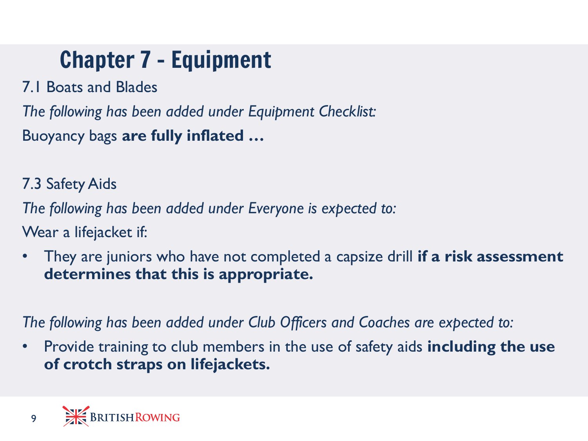## Chapter 7 – Equipment

7.1 Boats and Blades

*The following has been added under Equipment Checklist:* Buoyancy bags **are fully inflated …**

7.3 Safety Aids

*The following has been added under Everyone is expected to:*

Wear a lifejacket if:

• They are juniors who have not completed a capsize drill **if a risk assessment determines that this is appropriate.**

*The following has been added under Club Officers and Coaches are expected to:*

• Provide training to club members in the use of safety aids **including the use of crotch straps on lifejackets.**

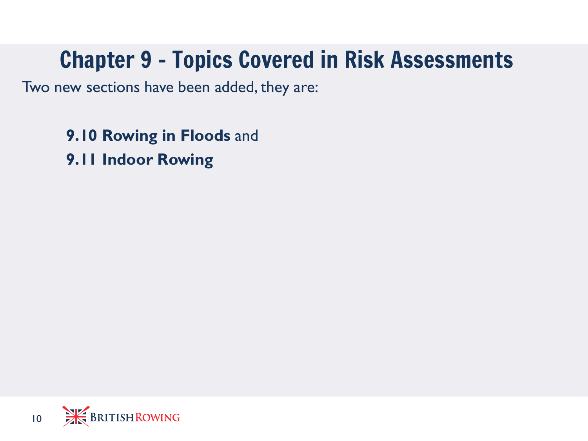### Chapter 9 – Topics Covered in Risk Assessments

Two new sections have been added, they are:

**9.10 Rowing in Floods** and **9.11 Indoor Rowing**

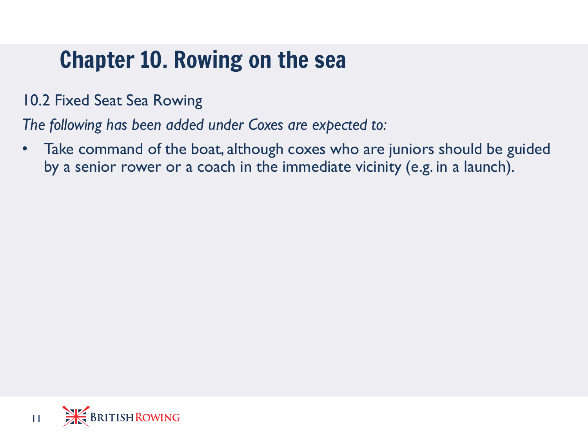### Chapter 10. Rowing on the sea

10.2 Fixed Seat Sea Rowing

*The following has been added under Coxes are expected to:*

Take command of the boat, although coxes who are juniors should be guided by a senior rower or a coach in the immediate vicinity (e.g. in a launch).

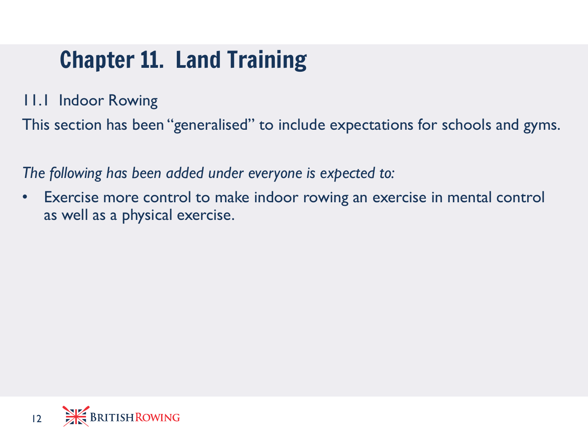### Chapter 11. Land Training

11.1 Indoor Rowing

This section has been "generalised" to include expectations for schools and gyms.

*The following has been added under everyone is expected to:*

Exercise more control to make indoor rowing an exercise in mental control as well as a physical exercise.